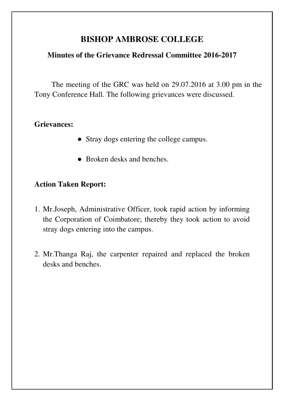# **BISHOP AMBROSE COLLEGE**

### **Minutes of the Grievance Redressal Committee 2016-2017**

The meeting of the GRC was held on 29.07.2016 at 3.00 pm in the Tony Conference Hall. The following grievances were discussed.

### **Grievances:**

- Stray dogs entering the college campus.
- Broken desks and benches.

## **Action Taken Report:**

- 1. Mr.Joseph, Administrative Officer, took rapid action by informing the Corporation of Coimbatore; thereby they took action to avoid stray dogs entering into the campus.
- 2. Mr.Thanga Raj, the carpenter repaired and replaced the broken desks and benches.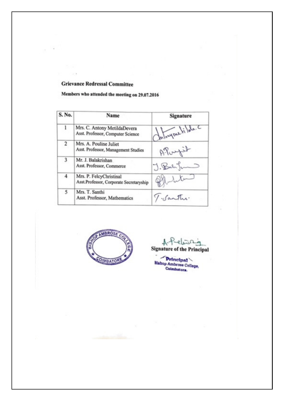#### **Grievance Redressal Committee**

Members who attended the meeting on 29.07.2016

| S. No.         | Name                                                               | Signature         |
|----------------|--------------------------------------------------------------------|-------------------|
| 1              | Mrs. C. Antony MetildaDevera<br>Asst. Professor, Computer Science  | Chilosynelilata.c |
| $\overline{2}$ | Mrs. A. Pouline Juliet<br>Asst. Professor, Management Studies      | APortil           |
| 3              | Mr. J. Balakrishan<br>Asst. Professor, Commerce                    | J. Balifin        |
| 4              | Mrs. P. FelcyChristinal<br>Asst.Professor, Corporate Secretaryship | Platitum          |
| 5              | Mrs. T. Santhi<br>Asst. Professor, Mathematics                     | 7. Santha.        |



A-Pelison

Principal<br>Bishop Ambrose College,<br>Coimbators,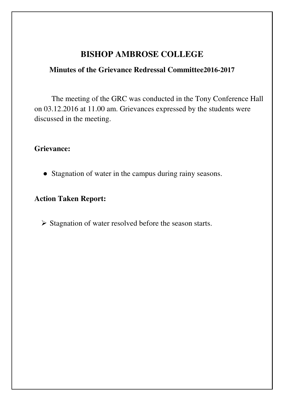# **BISHOP AMBROSE COLLEGE**

## **Minutes of the Grievance Redressal Committee2016-2017**

The meeting of the GRC was conducted in the Tony Conference Hall on 03.12.2016 at 11.00 am. Grievances expressed by the students were discussed in the meeting.

### **Grievance:**

● Stagnation of water in the campus during rainy seasons.

# **Action Taken Report:**

 $\triangleright$  Stagnation of water resolved before the season starts.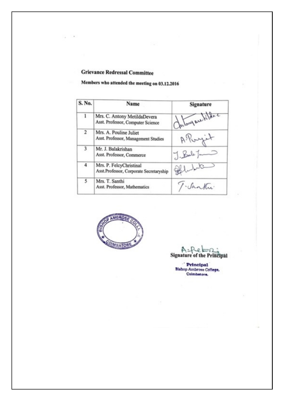#### **Grievance Redressal Committee**

 $\rightarrow$ G

# Members who attended the meeting on 03.12.2016

| S. No.       | Name                                                               | Signature          |
|--------------|--------------------------------------------------------------------|--------------------|
| $\mathbf{1}$ | Mrs. C. Antony MetildaDevera<br>Asst. Professor, Computer Science  | Chilory are tildac |
| 2            | Mrs. A. Pouline Juliet<br>Asst. Professor, Management Studies      | Albergit           |
| 3            | Mr. J. Balakrishan<br>Asst. Professor, Commerce                    | $7.$ Bab $1 -$     |
| 4            | Mrs. P. FelcyChristinal<br>Asst.Professor, Corporate Secretaryship | Politic            |
| 5            | Mrs. T. Santhi<br>Asst. Professor, Mathematics                     | T-Sanktu           |



Signature of the Principal

Principal<br>Bishop Ambrose College, Colmbatore.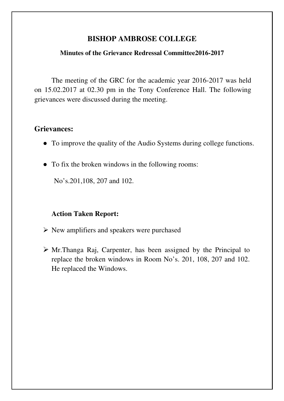### **BISHOP AMBROSE COLLEGE**

### **Minutes of the Grievance Redressal Committee2016-2017**

The meeting of the GRC for the academic year 2016-2017 was held on 15.02.2017 at 02.30 pm in the Tony Conference Hall. The following grievances were discussed during the meeting.

### **Grievances:**

- To improve the quality of the Audio Systems during college functions.
- To fix the broken windows in the following rooms:

No's.201,108, 207 and 102.

### **Action Taken Report:**

- $\triangleright$  New amplifiers and speakers were purchased
- Mr.Thanga Raj, Carpenter, has been assigned by the Principal to replace the broken windows in Room No's. 201, 108, 207 and 102. He replaced the Windows.